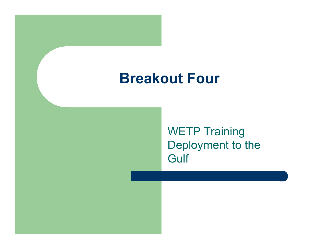#### Breakout Four

WETP Training Deployment to the **Gulf**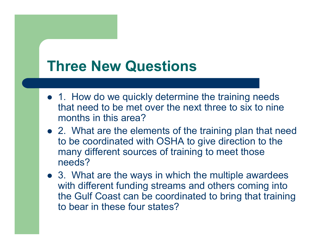## Three New Questions

- $\bullet$  1. How do we quickly determine the training needs that need to be met over the next three to six to nine months in this area?
- � 2. What are the elements of the training plan that need to be coordinated with OSHA to give direction to the many different sources of training to meet those needs?
- � 3. What are the ways in which the multiple awardees with different funding streams and others coming into the Gulf Coast can be coordinated to bring that training to bear in these four states?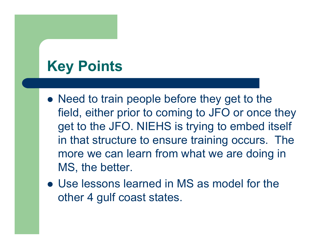# Key Points

- � Need to train people before they get to the field, either prior to coming to JFO or once they get to the JFO. NIEHS is trying to embed itself in that structure to ensure training occurs. The more we can learn from what we are doing in MS, the better.
- � Use lessons learned in MS as model for the other 4 gulf coast states.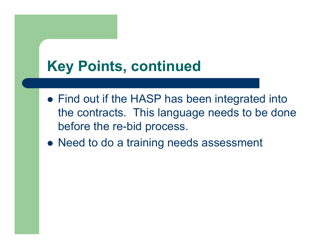# Key Points, continued

- � Find out if the HASP has been integrated into the contracts. This language needs to be done before the re-bid process.
- � Need to do <sup>a</sup> training needs assessment